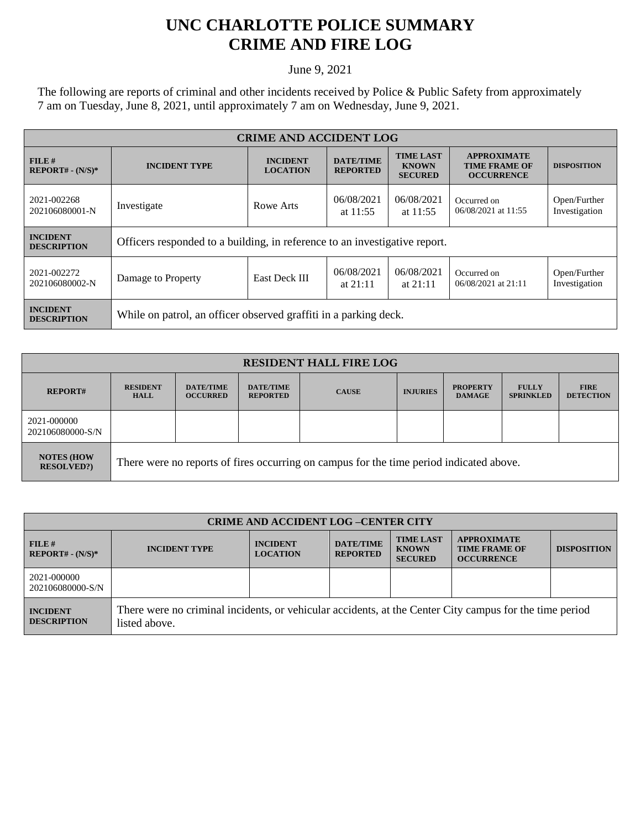## **UNC CHARLOTTE POLICE SUMMARY CRIME AND FIRE LOG**

June 9, 2021

The following are reports of criminal and other incidents received by Police & Public Safety from approximately 7 am on Tuesday, June 8, 2021, until approximately 7 am on Wednesday, June 9, 2021.

| <b>CRIME AND ACCIDENT LOG</b>         |                                                                            |                                    |                                     |                                                    |                                                                 |                               |
|---------------------------------------|----------------------------------------------------------------------------|------------------------------------|-------------------------------------|----------------------------------------------------|-----------------------------------------------------------------|-------------------------------|
| FILE H<br>$REPORT# - (N/S)*$          | <b>INCIDENT TYPE</b>                                                       | <b>INCIDENT</b><br><b>LOCATION</b> | <b>DATE/TIME</b><br><b>REPORTED</b> | <b>TIME LAST</b><br><b>KNOWN</b><br><b>SECURED</b> | <b>APPROXIMATE</b><br><b>TIME FRAME OF</b><br><b>OCCURRENCE</b> | <b>DISPOSITION</b>            |
| 2021-002268<br>202106080001-N         | Investigate                                                                | Rowe Arts                          | 06/08/2021<br>at $11:55$            | 06/08/2021<br>at $11:55$                           | Occurred on<br>06/08/2021 at 11:55                              | Open/Further<br>Investigation |
| <b>INCIDENT</b><br><b>DESCRIPTION</b> | Officers responded to a building, in reference to an investigative report. |                                    |                                     |                                                    |                                                                 |                               |
| 2021-002272<br>202106080002-N         | Damage to Property                                                         | East Deck III                      | 06/08/2021<br>at $21:11$            | 06/08/2021<br>at $21:11$                           | Occurred on<br>06/08/2021 at 21:11                              | Open/Further<br>Investigation |
| <b>INCIDENT</b><br><b>DESCRIPTION</b> | While on patrol, an officer observed graffiti in a parking deck.           |                                    |                                     |                                                    |                                                                 |                               |

| <b>RESIDENT HALL FIRE LOG</b>           |                                                                                         |                                     |                                     |              |                 |                                  |                                  |                                 |
|-----------------------------------------|-----------------------------------------------------------------------------------------|-------------------------------------|-------------------------------------|--------------|-----------------|----------------------------------|----------------------------------|---------------------------------|
| <b>REPORT#</b>                          | <b>RESIDENT</b><br><b>HALL</b>                                                          | <b>DATE/TIME</b><br><b>OCCURRED</b> | <b>DATE/TIME</b><br><b>REPORTED</b> | <b>CAUSE</b> | <b>INJURIES</b> | <b>PROPERTY</b><br><b>DAMAGE</b> | <b>FULLY</b><br><b>SPRINKLED</b> | <b>FIRE</b><br><b>DETECTION</b> |
| 2021-000000<br>202106080000-S/N         |                                                                                         |                                     |                                     |              |                 |                                  |                                  |                                 |
| <b>NOTES (HOW)</b><br><b>RESOLVED?)</b> | There were no reports of fires occurring on campus for the time period indicated above. |                                     |                                     |              |                 |                                  |                                  |                                 |

| <b>CRIME AND ACCIDENT LOG-CENTER CITY</b> |                                                                                                                          |                                    |                                     |                                                    |                                                                 |                    |  |
|-------------------------------------------|--------------------------------------------------------------------------------------------------------------------------|------------------------------------|-------------------------------------|----------------------------------------------------|-----------------------------------------------------------------|--------------------|--|
| FILE H<br>$REPORT# - (N/S)*$              | <b>INCIDENT TYPE</b>                                                                                                     | <b>INCIDENT</b><br><b>LOCATION</b> | <b>DATE/TIME</b><br><b>REPORTED</b> | <b>TIME LAST</b><br><b>KNOWN</b><br><b>SECURED</b> | <b>APPROXIMATE</b><br><b>TIME FRAME OF</b><br><b>OCCURRENCE</b> | <b>DISPOSITION</b> |  |
| 2021-000000<br>202106080000-S/N           |                                                                                                                          |                                    |                                     |                                                    |                                                                 |                    |  |
| <b>INCIDENT</b><br><b>DESCRIPTION</b>     | There were no criminal incidents, or vehicular accidents, at the Center City campus for the time period<br>listed above. |                                    |                                     |                                                    |                                                                 |                    |  |